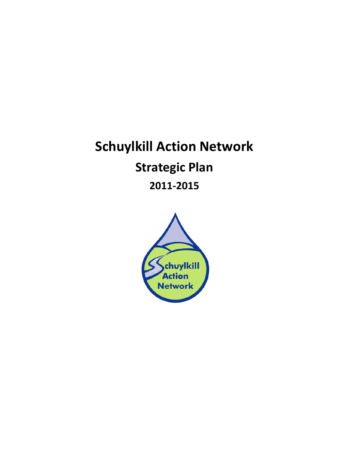# **Schuylkill Action Network Strategic Plan 2011‐2015**

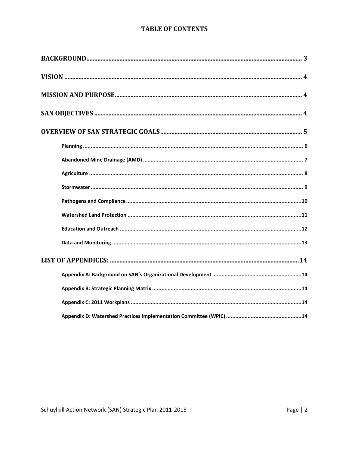### **TABLE OF CONTENTS**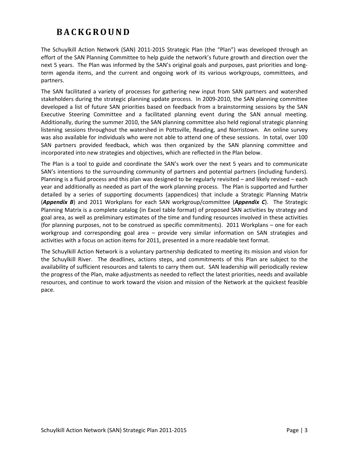# **BACKGROUND**

The Schuylkill Action Network (SAN) 2011‐2015 Strategic Plan (the "Plan") was developed through an effort of the SAN Planning Committee to help guide the network's future growth and direction over the next 5 years. The Plan was informed by the SAN's original goals and purposes, past priorities and longterm agenda items, and the current and ongoing work of its various workgroups, committees, and partners.

The SAN facilitated a variety of processes for gathering new input from SAN partners and watershed stakeholders during the strategic planning update process. In 2009‐2010, the SAN planning committee developed a list of future SAN priorities based on feedback from a brainstorming sessions by the SAN Executive Steering Committee and a facilitated planning event during the SAN annual meeting. Additionally, during the summer 2010, the SAN planning committee also held regional strategic planning listening sessions throughout the watershed in Pottsville, Reading, and Norristown. An online survey was also available for individuals who were not able to attend one of these sessions. In total, over 100 SAN partners provided feedback, which was then organized by the SAN planning committee and incorporated into new strategies and objectives, which are reflected in the Plan below.

The Plan is a tool to guide and coordinate the SAN's work over the next 5 years and to communicate SAN's intentions to the surrounding community of partners and potential partners (including funders). Planning is a fluid process and this plan was designed to be regularly revisited – and likely revised – each year and additionally as needed as part of the work planning process. The Plan is supported and further detailed by a series of supporting documents (appendices) that include a Strategic Planning Matrix (*Appendix B*) and 2011 Workplans for each SAN workgroup/committee (*Appendix C*). The Strategic Planning Matrix is a complete catalog (in Excel table format) of proposed SAN activities by strategy and goal area, as well as preliminary estimates of the time and funding resources involved in these activities (for planning purposes, not to be construed as specific commitments). 2011 Workplans – one for each workgroup and corresponding goal area – provide very similar information on SAN strategies and activities with a focus on action items for 2011, presented in a more readable text format.

The Schuylkill Action Network is a voluntary partnership dedicated to meeting its mission and vision for the Schuylkill River. The deadlines, actions steps, and commitments of this Plan are subject to the availability of sufficient resources and talents to carry them out. SAN leadership will periodically review the progress of the Plan, make adjustments as needed to reflect the latest priorities, needs and available resources, and continue to work toward the vision and mission of the Network at the quickest feasible pace.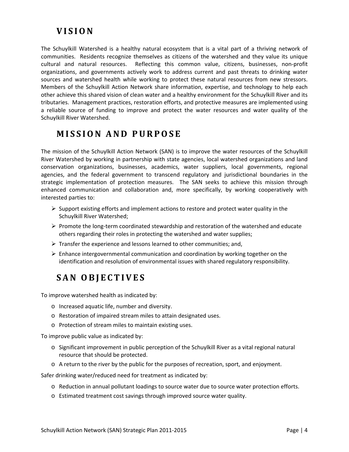# **VISION**

The Schuylkill Watershed is a healthy natural ecosystem that is a vital part of a thriving network of communities. Residents recognize themselves as citizens of the watershed and they value its unique cultural and natural resources. Reflecting this common value, citizens, businesses, non‐profit organizations, and governments actively work to address current and past threats to drinking water sources and watershed health while working to protect these natural resources from new stressors. Members of the Schuylkill Action Network share information, expertise, and technology to help each other achieve this shared vision of clean water and a healthy environment for the Schuylkill River and its tributaries. Management practices, restoration efforts, and protective measures are implemented using a reliable source of funding to improve and protect the water resources and water quality of the Schuylkill River Watershed.

# **MISSION AND PURPOSE**

The mission of the Schuylkill Action Network (SAN) is to improve the water resources of the Schuylkill River Watershed by working in partnership with state agencies, local watershed organizations and land conservation organizations, businesses, academics, water suppliers, local governments, regional agencies, and the federal government to transcend regulatory and jurisdictional boundaries in the strategic implementation of protection measures. The SAN seeks to achieve this mission through enhanced communication and collaboration and, more specifically, by working cooperatively with interested parties to:

- $\triangleright$  Support existing efforts and implement actions to restore and protect water quality in the Schuylkill River Watershed;
- Promote the long‐term coordinated stewardship and restoration of the watershed and educate others regarding their roles in protecting the watershed and water supplies;
- $\triangleright$  Transfer the experience and lessons learned to other communities; and,
- $\triangleright$  Enhance intergovernmental communication and coordination by working together on the identification and resolution of environmental issues with shared regulatory responsibility.

# **SAN OBJECTIVES**

To improve watershed health as indicated by:

- o Increased aquatic life, number and diversity.
- o Restoration of impaired stream miles to attain designated uses.
- o Protection of stream miles to maintain existing uses.

To improve public value as indicated by:

- o Significant improvement in public perception of the Schuylkill River as a vital regional natural resource that should be protected.
- o A return to the river by the public for the purposes of recreation, sport, and enjoyment.

Safer drinking water/reduced need for treatment as indicated by:

- o Reduction in annual pollutant loadings to source water due to source water protection efforts.
- o Estimated treatment cost savings through improved source water quality.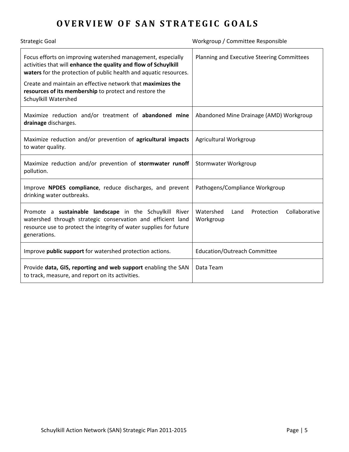# **OVERVIEW O F SAN STRATEGIC GOALS**

| <b>Strategic Goal</b>                                                                                                                                                                                        | Workgroup / Committee Responsible                             |
|--------------------------------------------------------------------------------------------------------------------------------------------------------------------------------------------------------------|---------------------------------------------------------------|
| Focus efforts on improving watershed management, especially<br>activities that will enhance the quality and flow of Schuylkill<br>waters for the protection of public health and aquatic resources.          | Planning and Executive Steering Committees                    |
| Create and maintain an effective network that maximizes the<br>resources of its membership to protect and restore the<br>Schuylkill Watershed                                                                |                                                               |
| Maximize reduction and/or treatment of abandoned mine<br>drainage discharges.                                                                                                                                | Abandoned Mine Drainage (AMD) Workgroup                       |
| Maximize reduction and/or prevention of agricultural impacts<br>to water quality.                                                                                                                            | Agricultural Workgroup                                        |
| Maximize reduction and/or prevention of stormwater runoff<br>pollution.                                                                                                                                      | Stormwater Workgroup                                          |
| Improve NPDES compliance, reduce discharges, and prevent<br>drinking water outbreaks.                                                                                                                        | Pathogens/Compliance Workgroup                                |
| Promote a sustainable landscape in the Schuylkill River<br>watershed through strategic conservation and efficient land<br>resource use to protect the integrity of water supplies for future<br>generations. | Collaborative<br>Watershed<br>Protection<br>Land<br>Workgroup |
| Improve public support for watershed protection actions.                                                                                                                                                     | <b>Education/Outreach Committee</b>                           |
| Provide data, GIS, reporting and web support enabling the SAN<br>to track, measure, and report on its activities.                                                                                            | Data Team                                                     |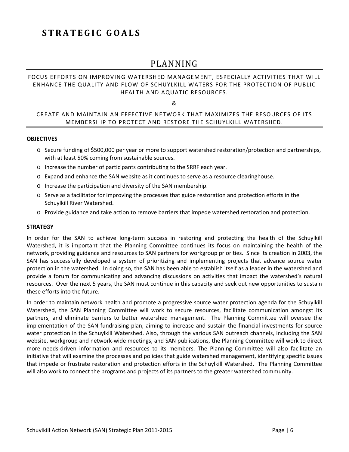# **STRATEGIC GOALS**

## PLANNING

### FOCUS EFFORTS ON IMPROVING WATERSHED MANAGEMENT, ESPECIALLY ACTIVITIES THAT WILL ENHANCE THE QUALITY AND FLOW OF SCHUYLKILL WATERS FOR THE PROTECTION OF PUBLIC HEALTH AND AQUATIC RESOURCES.

&

### CREATE AND MAINTAIN AN EFFECTIVE NETWORK THAT MAXIMIZES THE RESOURCES OF ITS MEMBERSHIP TO PROTECT AND RESTORE THE SCHUYLKILL WATERSHED.

### **OBJECTIVES**

- o Secure funding of \$500,000 per year or more to support watershed restoration/protection and partnerships, with at least 50% coming from sustainable sources.
- o Increase the number of participants contributing to the SRRF each year.
- o Expand and enhance the SAN website as it continues to serve as a resource clearinghouse.
- o Increase the participation and diversity of the SAN membership.
- o Serve as a facilitator for improving the processes that guide restoration and protection efforts in the Schuylkill River Watershed.
- o Provide guidance and take action to remove barriers that impede watershed restoration and protection.

### **STRATEGY**

In order for the SAN to achieve long-term success in restoring and protecting the health of the Schuylkill Watershed, it is important that the Planning Committee continues its focus on maintaining the health of the network, providing guidance and resources to SAN partners for workgroup priorities. Since its creation in 2003, the SAN has successfully developed a system of prioritizing and implementing projects that advance source water protection in the watershed. In doing so, the SAN has been able to establish itself as a leader in the watershed and provide a forum for communicating and advancing discussions on activities that impact the watershed's natural resources. Over the next 5 years, the SAN must continue in this capacity and seek out new opportunities to sustain these efforts into the future.

In order to maintain network health and promote a progressive source water protection agenda for the Schuylkill Watershed, the SAN Planning Committee will work to secure resources, facilitate communication amongst its partners, and eliminate barriers to better watershed management. The Planning Committee will oversee the implementation of the SAN fundraising plan, aiming to increase and sustain the financial investments for source water protection in the Schuylkill Watershed. Also, through the various SAN outreach channels, including the SAN website, workgroup and network‐wide meetings, and SAN publications, the Planning Committee will work to direct more needs‐driven information and resources to its members. The Planning Committee will also facilitate an initiative that will examine the processes and policies that guide watershed management, identifying specific issues that impede or frustrate restoration and protection efforts in the Schuylkill Watershed. The Planning Committee will also work to connect the programs and projects of its partners to the greater watershed community.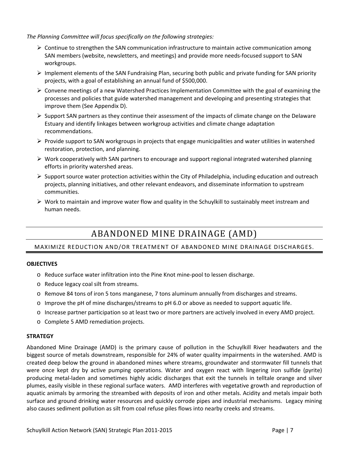*The Planning Committee will focus specifically on the following strategies:* 

- $\triangleright$  Continue to strengthen the SAN communication infrastructure to maintain active communication among SAN members (website, newsletters, and meetings) and provide more needs-focused support to SAN workgroups.
- $\triangleright$  Implement elements of the SAN Fundraising Plan, securing both public and private funding for SAN priority projects, with a goal of establishing an annual fund of \$500,000.
- $\triangleright$  Convene meetings of a new Watershed Practices Implementation Committee with the goal of examining the processes and policies that guide watershed management and developing and presenting strategies that improve them (See Appendix D).
- $\triangleright$  Support SAN partners as they continue their assessment of the impacts of climate change on the Delaware Estuary and identify linkages between workgroup activities and climate change adaptation recommendations.
- $\triangleright$  Provide support to SAN workgroups in projects that engage municipalities and water utilities in watershed restoration, protection, and planning.
- $\triangleright$  Work cooperatively with SAN partners to encourage and support regional integrated watershed planning efforts in priority watershed areas.
- $\triangleright$  Support source water protection activities within the City of Philadelphia, including education and outreach projects, planning initiatives, and other relevant endeavors, and disseminate information to upstream communities.
- $\triangleright$  Work to maintain and improve water flow and quality in the Schuylkill to sustainably meet instream and human needs.

# ABANDONED MINE DRAINAGE (AMD)

### MAXIMIZE REDUCTION AND/OR TREATMENT OF ABANDONED MINE DRAINAGE DISCHARGES.

### **OBJECTIVES**

- o Reduce surface water infiltration into the Pine Knot mine‐pool to lessen discharge.
- o Reduce legacy coal silt from streams.
- o Remove 84 tons of iron 5 tons manganese, 7 tons aluminum annually from discharges and streams.
- o Improve the pH of mine discharges/streams to pH 6.0 or above as needed to support aquatic life.
- o Increase partner participation so at least two or more partners are actively involved in every AMD project.
- o Complete 5 AMD remediation projects.

### **STRATEGY**

Abandoned Mine Drainage (AMD) is the primary cause of pollution in the Schuylkill River headwaters and the biggest source of metals downstream, responsible for 24% of water quality impairments in the watershed. AMD is created deep below the ground in abandoned mines where streams, groundwater and stormwater fill tunnels that were once kept dry by active pumping operations. Water and oxygen react with lingering iron sulfide (pyrite) producing metal‐laden and sometimes highly acidic discharges that exit the tunnels in telltale orange and silver plumes, easily visible in these regional surface waters. AMD interferes with vegetative growth and reproduction of aquatic animals by armoring the streambed with deposits of iron and other metals. Acidity and metals impair both surface and ground drinking water resources and quickly corrode pipes and industrial mechanisms. Legacy mining also causes sediment pollution as silt from coal refuse piles flows into nearby creeks and streams.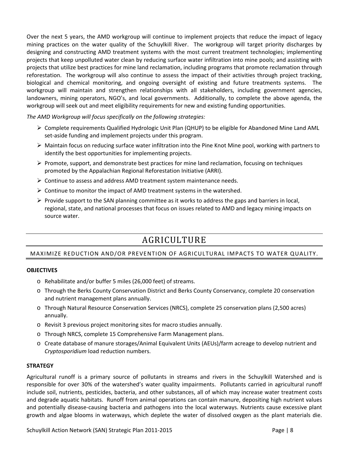Over the next 5 years, the AMD workgroup will continue to implement projects that reduce the impact of legacy mining practices on the water quality of the Schuylkill River. The workgroup will target priority discharges by designing and constructing AMD treatment systems with the most current treatment technologies; implementing projects that keep unpolluted water clean by reducing surface water infiltration into mine pools; and assisting with projects that utilize best practices for mine land reclamation, including programs that promote reclamation through reforestation. The workgroup will also continue to assess the impact of their activities through project tracking, biological and chemical monitoring, and ongoing oversight of existing and future treatments systems. The workgroup will maintain and strengthen relationships with all stakeholders, including government agencies, landowners, mining operators, NGO's, and local governments. Additionally, to complete the above agenda, the workgroup will seek out and meet eligibility requirements for new and existing funding opportunities.

*The AMD Workgroup will focus specifically on the following strategies:* 

- Complete requirements Qualified Hydrologic Unit Plan (QHUP) to be eligible for Abandoned Mine Land AML set-aside funding and implement projects under this program.
- $\triangleright$  Maintain focus on reducing surface water infiltration into the Pine Knot Mine pool, working with partners to identify the best opportunities for implementing projects.
- $\triangleright$  Promote, support, and demonstrate best practices for mine land reclamation, focusing on techniques promoted by the Appalachian Regional Reforestation Initiative (ARRI).
- $\triangleright$  Continue to assess and address AMD treatment system maintenance needs.
- $\triangleright$  Continue to monitor the impact of AMD treatment systems in the watershed.
- $\triangleright$  Provide support to the SAN planning committee as it works to address the gaps and barriers in local, regional, state, and national processes that focus on issues related to AMD and legacy mining impacts on source water.

# AGRICULTURE

### MAXIMIZE REDUCTION AND/OR PREVENTION OF AGRICULTURAL IMPACTS TO WATER QUALITY.

### **OBJECTIVES**

- o Rehabilitate and/or buffer 5 miles (26,000 feet) of streams.
- o Through the Berks County Conservation District and Berks County Conservancy, complete 20 conservation and nutrient management plans annually.
- o Through Natural Resource Conservation Services (NRCS), complete 25 conservation plans (2,500 acres) annually.
- o Revisit 3 previous project monitoring sites for macro studies annually.
- o Through NRCS, complete 15 Comprehensive Farm Management plans.
- o Create database of manure storages/Animal Equivalent Units (AEUs)/farm acreage to develop nutrient and *Cryptosporidium* load reduction numbers.

### **STRATEGY**

Agricultural runoff is a primary source of pollutants in streams and rivers in the Schuylkill Watershed and is responsible for over 30% of the watershed's water quality impairments. Pollutants carried in agricultural runoff include soil, nutrients, pesticides, bacteria, and other substances, all of which may increase water treatment costs and degrade aquatic habitats. Runoff from animal operations can contain manure, depositing high nutrient values and potentially disease‐causing bacteria and pathogens into the local waterways. Nutrients cause excessive plant growth and algae blooms in waterways, which deplete the water of dissolved oxygen as the plant materials die.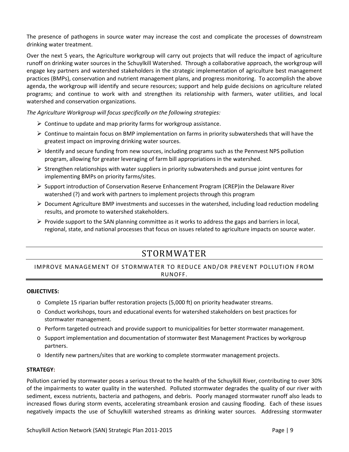The presence of pathogens in source water may increase the cost and complicate the processes of downstream drinking water treatment.

Over the next 5 years, the Agriculture workgroup will carry out projects that will reduce the impact of agriculture runoff on drinking water sources in the Schuylkill Watershed. Through a collaborative approach, the workgroup will engage key partners and watershed stakeholders in the strategic implementation of agriculture best management practices (BMPs), conservation and nutrient management plans, and progress monitoring. To accomplish the above agenda, the workgroup will identify and secure resources; support and help guide decisions on agriculture related programs; and continue to work with and strengthen its relationship with farmers, water utilities, and local watershed and conservation organizations.

*The Agriculture Workgroup will focus specifically on the following strategies:* 

- $\triangleright$  Continue to update and map priority farms for workgroup assistance.
- $\triangleright$  Continue to maintain focus on BMP implementation on farms in priority subwatersheds that will have the greatest impact on improving drinking water sources.
- $\triangleright$  Identify and secure funding from new sources, including programs such as the Pennvest NPS pollution program, allowing for greater leveraging of farm bill appropriations in the watershed.
- $\triangleright$  Strengthen relationships with water suppliers in priority subwatersheds and pursue joint ventures for implementing BMPs on priority farms/sites.
- $\triangleright$  Support introduction of Conservation Reserve Enhancement Program (CREP) in the Delaware River watershed (?) and work with partners to implement projects through this program
- $\triangleright$  Document Agriculture BMP investments and successes in the watershed, including load reduction modeling results, and promote to watershed stakeholders.
- $\triangleright$  Provide support to the SAN planning committee as it works to address the gaps and barriers in local, regional, state, and national processes that focus on issues related to agriculture impacts on source water.

# STORMWATER

### IMPROVE MANAGEMENT OF STORMWATER TO REDUCE AND/OR PREVENT POLLUTION FROM RUNOFF.

### **OBJECTIVES:**

- o Complete 15 riparian buffer restoration projects (5,000 ft) on priority headwater streams.
- o Conduct workshops, tours and educational events for watershed stakeholders on best practices for stormwater management.
- o Perform targeted outreach and provide support to municipalities for better stormwater management.
- o Support implementation and documentation of stormwater Best Management Practices by workgroup partners.
- o Identify new partners/sites that are working to complete stormwater management projects.

### **STRATEGY:**

Pollution carried by stormwater poses a serious threat to the health of the Schuylkill River, contributing to over 30% of the impairments to water quality in the watershed. Polluted stormwater degrades the quality of our river with sediment, excess nutrients, bacteria and pathogens, and debris. Poorly managed stormwater runoff also leads to increased flows during storm events, accelerating streambank erosion and causing flooding. Each of these issues negatively impacts the use of Schuylkill watershed streams as drinking water sources. Addressing stormwater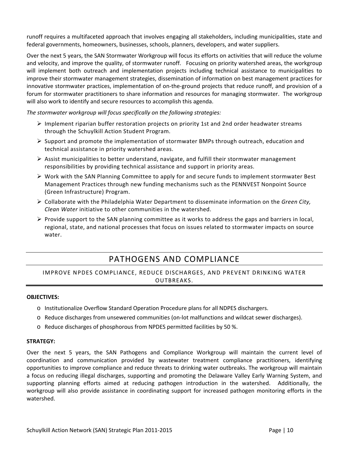runoff requires a multifaceted approach that involves engaging all stakeholders, including municipalities, state and federal governments, homeowners, businesses, schools, planners, developers, and water suppliers.

Over the next 5 years, the SAN Stormwater Workgroup will focus its efforts on activities that will reduce the volume and velocity, and improve the quality, of stormwater runoff. Focusing on priority watershed areas, the workgroup will implement both outreach and implementation projects including technical assistance to municipalities to improve their stormwater management strategies, dissemination of information on best management practices for innovative stormwater practices, implementation of on-the-ground projects that reduce runoff, and provision of a forum for stormwater practitioners to share information and resources for managing stormwater. The workgroup will also work to identify and secure resources to accomplish this agenda.

*The stormwater workgroup will focus specifically on the following strategies:* 

- $\triangleright$  Implement riparian buffer restoration projects on priority 1st and 2nd order headwater streams through the Schuylkill Action Student Program.
- $\triangleright$  Support and promote the implementation of stormwater BMPs through outreach, education and technical assistance in priority watershed areas.
- $\triangleright$  Assist municipalities to better understand, navigate, and fulfill their stormwater management responsibilities by providing technical assistance and support in priority areas.
- $\triangleright$  Work with the SAN Planning Committee to apply for and secure funds to implement stormwater Best Management Practices through new funding mechanisms such as the PENNVEST Nonpoint Source (Green Infrastructure) Program.
- Collaborate with the Philadelphia Water Department to disseminate information on the *Green City, Clean Water* initiative to other communities in the watershed.
- $\triangleright$  Provide support to the SAN planning committee as it works to address the gaps and barriers in local, regional, state, and national processes that focus on issues related to stormwater impacts on source water.

### PATHOGENS AND COMPLIANCE

### IMPROVE NPDES COMPLIANCE, REDUCE DISCHARGES, AND PREVENT DRINKING WATER OUTBREAKS.

### **OBJECTIVES:**

- o Institutionalize Overflow Standard Operation Procedure plans for all NDPES dischargers.
- o Reduce discharges from unsewered communities (on‐lot malfunctions and wildcat sewer discharges).
- o Reduce discharges of phosphorous from NPDES permitted facilities by 50 %.

### **STRATEGY:**

Over the next 5 years, the SAN Pathogens and Compliance Workgroup will maintain the current level of coordination and communication provided by wastewater treatment compliance practitioners, identifying opportunities to improve compliance and reduce threats to drinking water outbreaks. The workgroup will maintain a focus on reducing illegal discharges, supporting and promoting the Delaware Valley Early Warning System, and supporting planning efforts aimed at reducing pathogen introduction in the watershed. Additionally, the workgroup will also provide assistance in coordinating support for increased pathogen monitoring efforts in the watershed.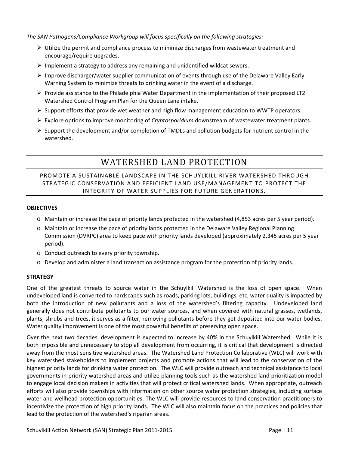*The SAN Pathogens/Compliance Workgroup will focus specifically on the following strategies:* 

- $\triangleright$  Utilize the permit and compliance process to minimize discharges from wastewater treatment and encourage/require upgrades.
- $\triangleright$  Implement a strategy to address any remaining and unidentified wildcat sewers.
- $\triangleright$  Improve discharger/water supplier communication of events through use of the Delaware Valley Early Warning System to minimize threats to drinking water in the event of a discharge.
- $\triangleright$  Provide assistance to the Philadelphia Water Department in the implementation of their proposed LT2 Watershed Control Program Plan for the Queen Lane intake.
- $\triangleright$  Support efforts that provide wet weather and high flow management education to WWTP operators.
- Explore options to improve monitoring of *Cryptosporidium* downstream of wastewater treatment plants.
- $\triangleright$  Support the development and/or completion of TMDLs and pollution budgets for nutrient control in the watershed.

# WATERSHED LAND PROTECTION

### PROMOTE A SUSTAINABLE LANDSCAPE IN THE SCHUYLKILL RIVER WATERSHED THROUGH STRATEGIC CONSERVATION AND EFFICIENT LAND USE/MANAGEMENT TO PROTECT THE INTEGRITY OF WATER SUPPLIES FOR FUTURE GENERATIONS.

### **OBJECTIVES**

- o Maintain or increase the pace of priority lands protected in the watershed (4,853 acres per 5 year period).
- o Maintain or increase the pace of priority lands protected in the Delaware Valley Regional Planning Commission (DVRPC) area to keep pace with priority lands developed (approximately 2,345 acres per 5 year period).
- o Conduct outreach to every priority township.
- o Develop and administer a land transaction assistance program for the protection of priority lands.

### **STRATEGY**

One of the greatest threats to source water in the Schuylkill Watershed is the loss of open space. When undeveloped land is converted to hardscapes such as roads, parking lots, buildings, etc, water quality is impacted by both the introduction of new pollutants and a loss of the watershed's filtering capacity. Undeveloped land generally does not contribute pollutants to our water sources, and when covered with natural grasses, wetlands, plants, shrubs and trees, it serves as a filter, removing pollutants before they get deposited into our water bodies. Water quality improvement is one of the most powerful benefits of preserving open space.

Over the next two decades, development is expected to increase by 40% in the Schuylkill Watershed. While it is both impossible and unnecessary to stop all development from occurring, it is critical that development is directed away from the most sensitive watershed areas. The Watershed Land Protection Collaborative (WLC) will work with key watershed stakeholders to implement projects and promote actions that will lead to the conservation of the highest priority lands for drinking water protection. The WLC will provide outreach and technical assistance to local governments in priority watershed areas and utilize planning tools such as the watershed land prioritization model to engage local decision makers in activities that will protect critical watershed lands. When appropriate, outreach efforts will also provide townships with information on other source water protection strategies, including surface water and wellhead protection opportunities. The WLC will provide resources to land conservation practitioners to incentivize the protection of high priority lands. The WLC will also maintain focus on the practices and policies that lead to the protection of the watershed's riparian areas.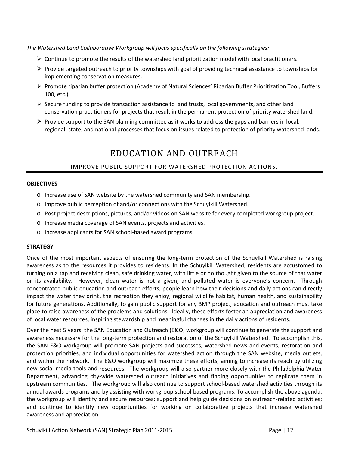*The Watershed Land Collaborative Workgroup will focus specifically on the following strategies:* 

- $\triangleright$  Continue to promote the results of the watershed land prioritization model with local practitioners.
- $\triangleright$  Provide targeted outreach to priority townships with goal of providing technical assistance to townships for implementing conservation measures.
- Promote riparian buffer protection (Academy of Natural Sciences' Riparian Buffer Prioritization Tool, Buffers 100, etc.).
- $\triangleright$  Secure funding to provide transaction assistance to land trusts, local governments, and other land conservation practitioners for projects that result in the permanent protection of priority watershed land.
- $\triangleright$  Provide support to the SAN planning committee as it works to address the gaps and barriers in local, regional, state, and national processes that focus on issues related to protection of priority watershed lands.

# EDUCATION AND OUTREACH

### IMPROVE PUBLIC SUPPORT FOR WATERSHED PROTECTION ACTIONS.

### **OBJECTIVES**

- o Increase use of SAN website by the watershed community and SAN membership.
- o Improve public perception of and/or connections with the Schuylkill Watershed.
- o Post project descriptions, pictures, and/or videos on SAN website for every completed workgroup project.
- o Increase media coverage of SAN events, projects and activities.
- o Increase applicants for SAN school‐based award programs.

### **STRATEGY**

Once of the most important aspects of ensuring the long‐term protection of the Schuylkill Watershed is raising awareness as to the resources it provides to residents. In the Schuylkill Watershed, residents are accustomed to turning on a tap and receiving clean, safe drinking water, with little or no thought given to the source of that water or its availability. However, clean water is not a given, and polluted water is everyone's concern. Through concentrated public education and outreach efforts, people learn how their decisions and daily actions can directly impact the water they drink, the recreation they enjoy, regional wildlife habitat, human health, and sustainability for future generations. Additionally, to gain public support for any BMP project, education and outreach must take place to raise awareness of the problems and solutions. Ideally, these efforts foster an appreciation and awareness of local water resources, inspiring stewardship and meaningful changes in the daily actions of residents.

Over the next 5 years, the SAN Education and Outreach (E&O) workgroup will continue to generate the support and awareness necessary for the long‐term protection and restoration of the Schuylkill Watershed. To accomplish this, the SAN E&O workgroup will promote SAN projects and successes, watershed news and events, restoration and protection priorities, and individual opportunities for watershed action through the SAN website, media outlets, and within the network. The E&O workgroup will maximize these efforts, aiming to increase its reach by utilizing new social media tools and resources. The workgroup will also partner more closely with the Philadelphia Water Department, advancing city-wide watershed outreach initiatives and finding opportunities to replicate them in upstream communities. The workgroup will also continue to support school‐based watershed activities through its annual awards programs and by assisting with workgroup school‐based programs. To accomplish the above agenda, the workgroup will identify and secure resources; support and help guide decisions on outreach‐related activities; and continue to identify new opportunities for working on collaborative projects that increase watershed awareness and appreciation.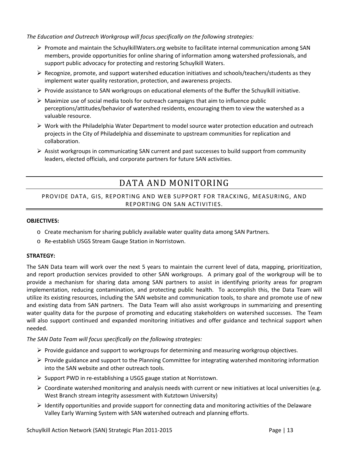*The Education and Outreach Workgroup will focus specifically on the following strategies:* 

- $\triangleright$  Promote and maintain the SchuylkillWaters.org website to facilitate internal communication among SAN members, provide opportunities for online sharing of information among watershed professionals, and support public advocacy for protecting and restoring Schuylkill Waters.
- $\triangleright$  Recognize, promote, and support watershed education initiatives and schools/teachers/students as they implement water quality restoration, protection, and awareness projects.
- $\triangleright$  Provide assistance to SAN workgroups on educational elements of the Buffer the Schuylkill initiative.
- $\triangleright$  Maximize use of social media tools for outreach campaigns that aim to influence public perceptions/attitudes/behavior of watershed residents, encouraging them to view the watershed as a valuable resource.
- $\triangleright$  Work with the Philadelphia Water Department to model source water protection education and outreach projects in the City of Philadelphia and disseminate to upstream communities for replication and collaboration.
- $\triangleright$  Assist workgroups in communicating SAN current and past successes to build support from community leaders, elected officials, and corporate partners for future SAN activities.

# DATA AND MONITORING

### PROVIDE DATA, GIS, REPORTING AND WEB SUPPORT FOR TRACKING, MEASURING, AND REPORTING ON SAN ACTIVITIES.

### **OBJECTIVES:**

- o Create mechanism for sharing publicly available water quality data among SAN Partners.
- o Re‐establish USGS Stream Gauge Station in Norristown.

### **STRATEGY:**

The SAN Data team will work over the next 5 years to maintain the current level of data, mapping, prioritization, and report production services provided to other SAN workgroups. A primary goal of the workgroup will be to provide a mechanism for sharing data among SAN partners to assist in identifying priority areas for program implementation, reducing contamination, and protecting public health. To accomplish this, the Data Team will utilize its existing resources, including the SAN website and communication tools, to share and promote use of new and existing data from SAN partners. The Data Team will also assist workgroups in summarizing and presenting water quality data for the purpose of promoting and educating stakeholders on watershed successes. The Team will also support continued and expanded monitoring initiatives and offer guidance and technical support when needed.

*The SAN Data Team will focus specifically on the following strategies:*

- $\triangleright$  Provide guidance and support to workgroups for determining and measuring workgroup objectives.
- $\triangleright$  Provide guidance and support to the Planning Committee for integrating watershed monitoring information into the SAN website and other outreach tools.
- ▶ Support PWD in re-establishing a USGS gauge station at Norristown.
- $\triangleright$  Coordinate watershed monitoring and analysis needs with current or new initiatives at local universities (e.g. West Branch stream integrity assessment with Kutztown University)
- $\triangleright$  Identify opportunities and provide support for connecting data and monitoring activities of the Delaware Valley Early Warning System with SAN watershed outreach and planning efforts.